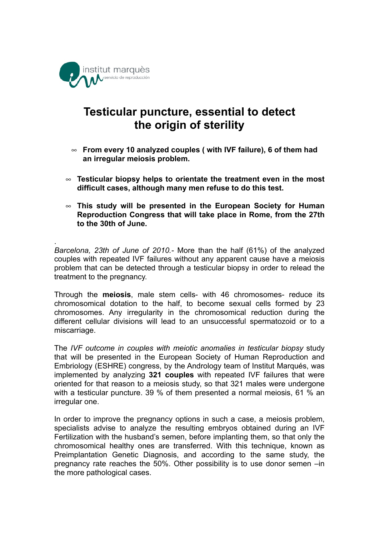

.

## **Testicular puncture, essential to detect the origin of sterility**

- **From every 10 analyzed couples ( with IVF failure), 6 of them had an irregular meiosis problem.**
- **Testicular biopsy helps to orientate the treatment even in the most difficult cases, although many men refuse to do this test.**
- **This study will be presented in the European Society for Human Reproduction Congress that will take place in Rome, from the 27th to the 30th of June.**

*Barcelona, 23th of June of 2010.-* More than the half (61%) of the analyzed couples with repeated IVF failures without any apparent cause have a meiosis problem that can be detected through a testicular biopsy in order to relead the treatment to the pregnancy.

Through the **meiosis**, male stem cells- with 46 chromosomes- reduce its chromosomical dotation to the half, to become sexual cells formed by 23 chromosomes. Any irregularity in the chromosomical reduction during the different cellular divisions will lead to an unsuccessful spermatozoid or to a miscarriage.

The *IVF outcome in couples with meiotic anomalies in testicular biopsy* study that will be presented in the European Society of Human Reproduction and Embriology (ESHRE) congress, by the Andrology team of Institut Marqués, was implemented by analyzing **321 couples** with repeated IVF failures that were oriented for that reason to a meiosis study, so that 321 males were undergone with a testicular puncture. 39 % of them presented a normal meiosis, 61 % an irregular one.

In order to improve the pregnancy options in such a case, a meiosis problem, specialists advise to analyze the resulting embryos obtained during an IVF Fertilization with the husband's semen, before implanting them, so that only the chromosomical healthy ones are transferred. With this technique, known as Preimplantation Genetic Diagnosis, and according to the same study, the pregnancy rate reaches the 50%. Other possibility is to use donor semen –in the more pathological cases.